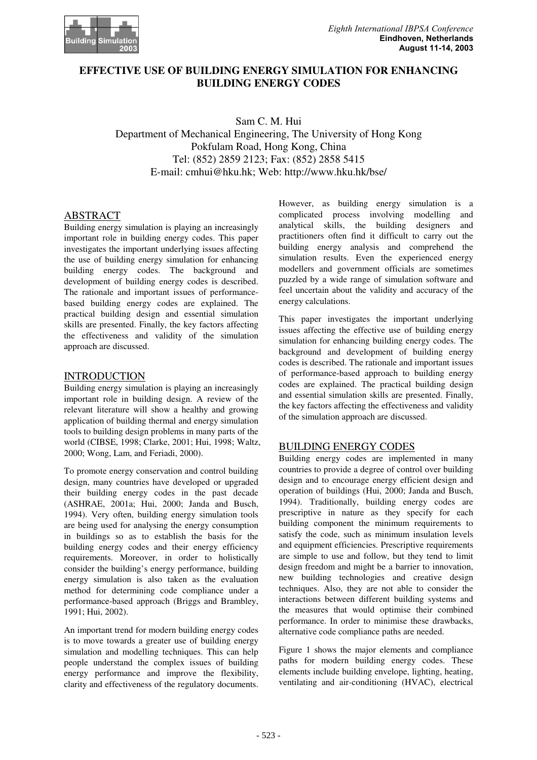

# **EFFECTIVE USE OF BUILDING ENERGY SIMULATION FOR ENHANCING BUILDING ENERGY CODES**

Sam C. M. Hui Department of Mechanical Engineering, The University of Hong Kong Pokfulam Road, Hong Kong, China Tel: (852) 2859 2123; Fax: (852) 2858 5415 E-mail: cmhui@hku.hk; Web: http://www.hku.hk/bse/

# ABSTRACT

Building energy simulation is playing an increasingly important role in building energy codes. This paper investigates the important underlying issues affecting the use of building energy simulation for enhancing building energy codes. The background and development of building energy codes is described. The rationale and important issues of performancebased building energy codes are explained. The practical building design and essential simulation skills are presented. Finally, the key factors affecting the effectiveness and validity of the simulation approach are discussed.

## INTRODUCTION

Building energy simulation is playing an increasingly important role in building design. A review of the relevant literature will show a healthy and growing application of building thermal and energy simulation tools to building design problems in many parts of the world (CIBSE, 1998; Clarke, 2001; Hui, 1998; Waltz, 2000; Wong, Lam, and Feriadi, 2000).

To promote energy conservation and control building design, many countries have developed or upgraded their building energy codes in the past decade (ASHRAE, 2001a; Hui, 2000; Janda and Busch, 1994). Very often, building energy simulation tools are being used for analysing the energy consumption in buildings so as to establish the basis for the building energy codes and their energy efficiency requirements. Moreover, in order to holistically consider the building's energy performance, building energy simulation is also taken as the evaluation method for determining code compliance under a performance-based approach (Briggs and Brambley, 1991; Hui, 2002).

An important trend for modern building energy codes is to move towards a greater use of building energy simulation and modelling techniques. This can help people understand the complex issues of building energy performance and improve the flexibility, clarity and effectiveness of the regulatory documents.

However, as building energy simulation is a complicated process involving modelling and analytical skills, the building designers and practitioners often find it difficult to carry out the building energy analysis and comprehend the simulation results. Even the experienced energy modellers and government officials are sometimes puzzled by a wide range of simulation software and feel uncertain about the validity and accuracy of the energy calculations.

This paper investigates the important underlying issues affecting the effective use of building energy simulation for enhancing building energy codes. The background and development of building energy codes is described. The rationale and important issues of performance-based approach to building energy codes are explained. The practical building design and essential simulation skills are presented. Finally, the key factors affecting the effectiveness and validity of the simulation approach are discussed.

# BUILDING ENERGY CODES

Building energy codes are implemented in many countries to provide a degree of control over building design and to encourage energy efficient design and operation of buildings (Hui, 2000; Janda and Busch, 1994). Traditionally, building energy codes are prescriptive in nature as they specify for each building component the minimum requirements to satisfy the code, such as minimum insulation levels and equipment efficiencies. Prescriptive requirements are simple to use and follow, but they tend to limit design freedom and might be a barrier to innovation, new building technologies and creative design techniques. Also, they are not able to consider the interactions between different building systems and the measures that would optimise their combined performance. In order to minimise these drawbacks, alternative code compliance paths are needed.

Figure 1 shows the major elements and compliance paths for modern building energy codes. These elements include building envelope, lighting, heating, ventilating and air-conditioning (HVAC), electrical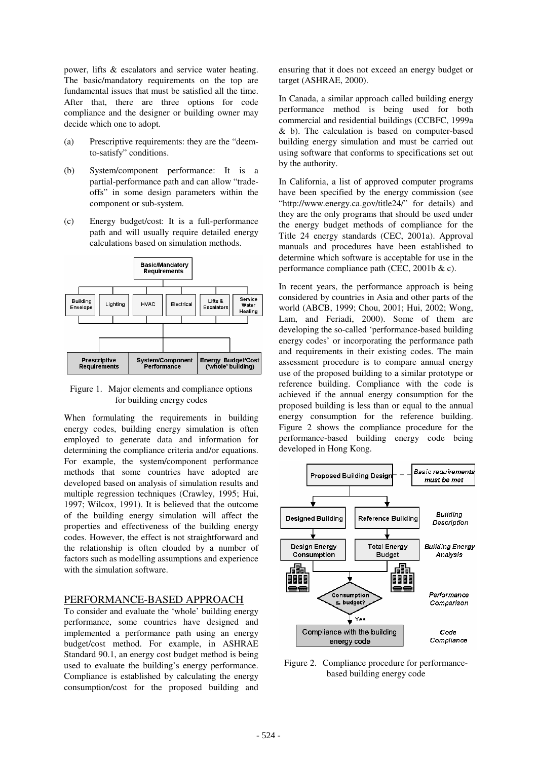power, lifts & escalators and service water heating. The basic/mandatory requirements on the top are fundamental issues that must be satisfied all the time. After that, there are three options for code compliance and the designer or building owner may decide which one to adopt.

- (a) Prescriptive requirements: they are the "deemto-satisfy" conditions.
- (b) System/component performance: It is a partial-performance path and can allow "tradeoffs" in some design parameters within the component or sub-system.
- (c) Energy budget/cost: It is a full-performance path and will usually require detailed energy calculations based on simulation methods.



Figure 1. Major elements and compliance options for building energy codes

When formulating the requirements in building energy codes, building energy simulation is often employed to generate data and information for determining the compliance criteria and/or equations. For example, the system/component performance methods that some countries have adopted are developed based on analysis of simulation results and multiple regression techniques (Crawley, 1995; Hui, 1997; Wilcox, 1991). It is believed that the outcome of the building energy simulation will affect the properties and effectiveness of the building energy codes. However, the effect is not straightforward and the relationship is often clouded by a number of factors such as modelling assumptions and experience with the simulation software.

#### PERFORMANCE-BASED APPROACH

To consider and evaluate the 'whole' building energy performance, some countries have designed and implemented a performance path using an energy budget/cost method. For example, in ASHRAE Standard 90.1, an energy cost budget method is being used to evaluate the building's energy performance. Compliance is established by calculating the energy consumption/cost for the proposed building and

ensuring that it does not exceed an energy budget or target (ASHRAE, 2000).

In Canada, a similar approach called building energy performance method is being used for both commercial and residential buildings (CCBFC, 1999a & b). The calculation is based on computer-based building energy simulation and must be carried out using software that conforms to specifications set out by the authority.

In California, a list of approved computer programs have been specified by the energy commission (see "http://www.energy.ca.gov/title24/" for details) and they are the only programs that should be used under the energy budget methods of compliance for the Title 24 energy standards (CEC, 2001a). Approval manuals and procedures have been established to determine which software is acceptable for use in the performance compliance path (CEC, 2001b & c).

In recent years, the performance approach is being considered by countries in Asia and other parts of the world (ABCB, 1999; Chou, 2001; Hui, 2002; Wong, Lam, and Feriadi, 2000). Some of them are developing the so-called 'performance-based building energy codes' or incorporating the performance path and requirements in their existing codes. The main assessment procedure is to compare annual energy use of the proposed building to a similar prototype or reference building. Compliance with the code is achieved if the annual energy consumption for the proposed building is less than or equal to the annual energy consumption for the reference building. Figure 2 shows the compliance procedure for the performance-based building energy code being developed in Hong Kong.



Figure 2. Compliance procedure for performancebased building energy code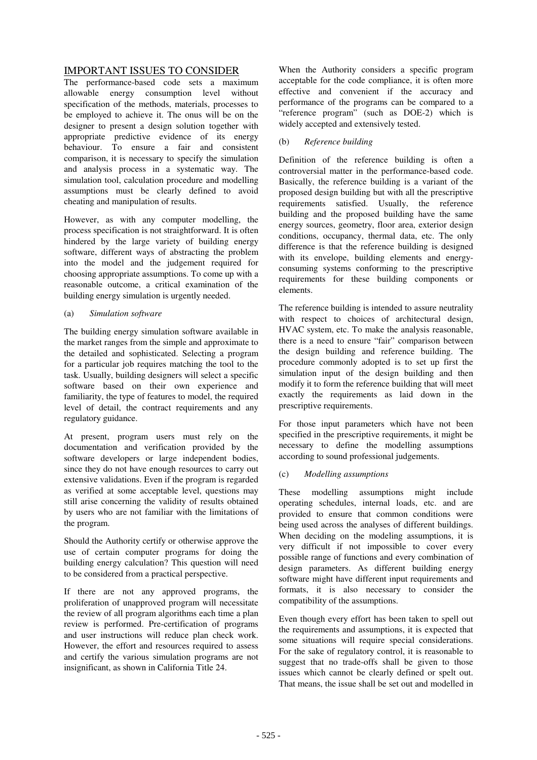## IMPORTANT ISSUES TO CONSIDER

The performance-based code sets a maximum allowable energy consumption level without specification of the methods, materials, processes to be employed to achieve it. The onus will be on the designer to present a design solution together with appropriate predictive evidence of its energy  $\frac{1}{2}$  behaviour. To ensure a fair and consistent comparison, it is necessary to specify the simulation and analysis process in a systematic way. The simulation tool, calculation procedure and modelling assumptions must be clearly defined to avoid cheating and manipulation of results.

However, as with any computer modelling, the process specification is not straightforward. It is often hindered by the large variety of building energy software, different ways of abstracting the problem into the model and the judgement required for choosing appropriate assumptions. To come up with a reasonable outcome, a critical examination of the building energy simulation is urgently needed.

#### (a) *Simulation software*

The building energy simulation software available in the market ranges from the simple and approximate to the detailed and sophisticated. Selecting a program for a particular job requires matching the tool to the task. Usually, building designers will select a specific software based on their own experience and familiarity, the type of features to model, the required level of detail, the contract requirements and any regulatory guidance.

At present, program users must rely on the documentation and verification provided by the software developers or large independent bodies, since they do not have enough resources to carry out extensive validations. Even if the program is regarded as verified at some acceptable level, questions may still arise concerning the validity of results obtained by users who are not familiar with the limitations of the program.

Should the Authority certify or otherwise approve the use of certain computer programs for doing the building energy calculation? This question will need to be considered from a practical perspective.

If there are not any approved programs, the proliferation of unapproved program will necessitate the review of all program algorithms each time a plan review is performed. Pre-certification of programs and user instructions will reduce plan check work. However, the effort and resources required to assess and certify the various simulation programs are not insignificant, as shown in California Title 24.

When the Authority considers a specific program acceptable for the code compliance, it is often more effective and convenient if the accuracy and performance of the programs can be compared to a "reference program" (such as DOE-2) which is widely accepted and extensively tested.

#### (b) *Reference building*

Definition of the reference building is often a controversial matter in the performance-based code. Basically, the reference building is a variant of the proposed design building but with all the prescriptive requirements satisfied. Usually, the reference building and the proposed building have the same energy sources, geometry, floor area, exterior design conditions, occupancy, thermal data, etc. The only difference is that the reference building is designed with its envelope, building elements and energyconsuming systems conforming to the prescriptive requirements for these building components or elements.

The reference building is intended to assure neutrality with respect to choices of architectural design, HVAC system, etc. To make the analysis reasonable, there is a need to ensure "fair" comparison between the design building and reference building. The procedure commonly adopted is to set up first the simulation input of the design building and then modify it to form the reference building that will meet exactly the requirements as laid down in the prescriptive requirements.

For those input parameters which have not been specified in the prescriptive requirements, it might be necessary to define the modelling assumptions according to sound professional judgements.

### (c) *Modelling assumptions*

These modelling assumptions might include operating schedules, internal loads, etc. and are provided to ensure that common conditions were being used across the analyses of different buildings. When deciding on the modeling assumptions, it is very difficult if not impossible to cover every possible range of functions and every combination of design parameters. As different building energy software might have different input requirements and formats, it is also necessary to consider the compatibility of the assumptions.

Even though every effort has been taken to spell out the requirements and assumptions, it is expected that some situations will require special considerations. For the sake of regulatory control, it is reasonable to suggest that no trade-offs shall be given to those issues which cannot be clearly defined or spelt out. That means, the issue shall be set out and modelled in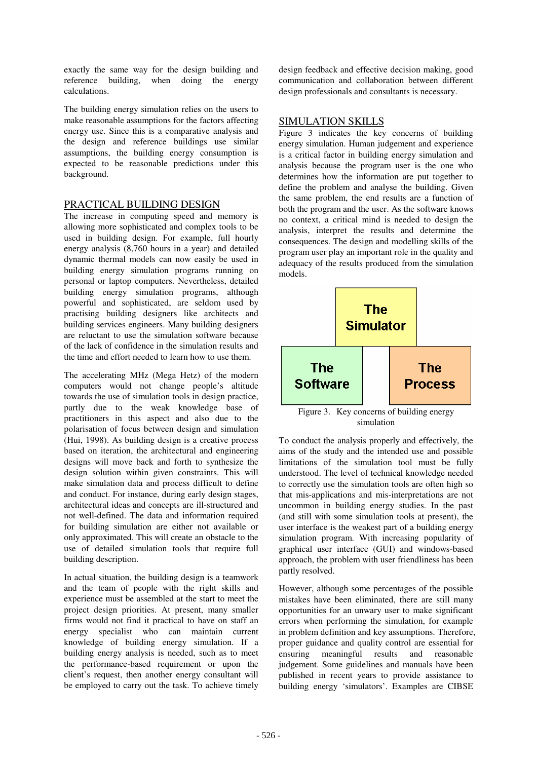exactly the same way for the design building and reference building, when doing the energy calculations.

The building energy simulation relies on the users to make reasonable assumptions for the factors affecting energy use. Since this is a comparative analysis and the design and reference buildings use similar assumptions, the building energy consumption is expected to be reasonable predictions under this background.

## PRACTICAL BUILDING DESIGN

The increase in computing speed and memory is allowing more sophisticated and complex tools to be used in building design. For example, full hourly energy analysis (8,760 hours in a year) and detailed dynamic thermal models can now easily be used in building energy simulation programs running on personal or laptop computers. Nevertheless, detailed building energy simulation programs, although powerful and sophisticated, are seldom used by practising building designers like architects and building services engineers. Many building designers are reluctant to use the simulation software because of the lack of confidence in the simulation results and the time and effort needed to learn how to use them.

The accelerating MHz (Mega Hetz) of the modern computers would not change people's altitude towards the use of simulation tools in design practice, partly due to the weak knowledge base of practitioners in this aspect and also due to the polarisation of focus between design and simulation (Hui, 1998). As building design is a creative process based on iteration, the architectural and engineering designs will move back and forth to synthesize the design solution within given constraints. This will make simulation data and process difficult to define and conduct. For instance, during early design stages, architectural ideas and concepts are ill-structured and not well-defined. The data and information required for building simulation are either not available or only approximated. This will create an obstacle to the use of detailed simulation tools that require full building description.

In actual situation, the building design is a teamwork and the team of people with the right skills and experience must be assembled at the start to meet the project design priorities. At present, many smaller firms would not find it practical to have on staff an energy specialist who can maintain current knowledge of building energy simulation. If a building energy analysis is needed, such as to meet the performance-based requirement or upon the client's request, then another energy consultant will be employed to carry out the task. To achieve timely

design feedback and effective decision making, good communication and collaboration between different design professionals and consultants is necessary.

## SIMULATION SKILLS

Figure 3 indicates the key concerns of building energy simulation. Human judgement and experience is a critical factor in building energy simulation and analysis because the program user is the one who determines how the information are put together to define the problem and analyse the building. Given the same problem, the end results are a function of both the program and the user. As the software knows no context, a critical mind is needed to design the analysis, interpret the results and determine the consequences. The design and modelling skills of the program user play an important role in the quality and adequacy of the results produced from the simulation models.



Figure 3. Key concerns of building energy simulation

To conduct the analysis properly and effectively, the aims of the study and the intended use and possible limitations of the simulation tool must be fully understood. The level of technical knowledge needed to correctly use the simulation tools are often high so that mis-applications and mis-interpretations are not uncommon in building energy studies. In the past (and still with some simulation tools at present), the user interface is the weakest part of a building energy simulation program. With increasing popularity of graphical user interface (GUI) and windows-based approach, the problem with user friendliness has been partly resolved.

However, although some percentages of the possible mistakes have been eliminated, there are still many opportunities for an unwary user to make significant errors when performing the simulation, for example in problem definition and key assumptions. Therefore, proper guidance and quality control are essential for ensuring meaningful results and reasonable judgement. Some guidelines and manuals have been published in recent years to provide assistance to building energy 'simulators'. Examples are CIBSE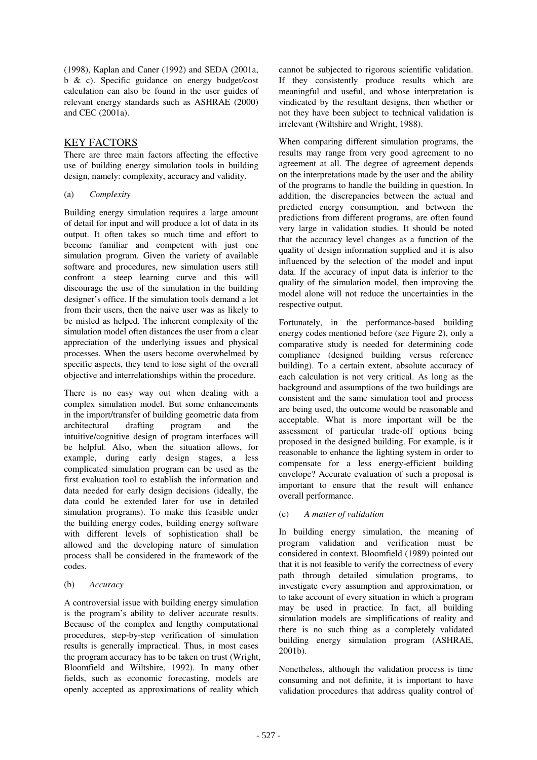(1998), Kaplan and Caner (1992) and SEDA (2001a, b & c). Specific guidance on energy budget/cost calculation can also be found in the user guides of relevant energy standards such as ASHRAE (2000) and CEC (2001a).

## KEY FACTORS

There are three main factors affecting the effective use of building energy simulation tools in building design, namely: complexity, accuracy and validity.

#### (a) *Complexity*

Building energy simulation requires a large amount of detail for input and will produce a lot of data in its output. It often takes so much time and effort to become familiar and competent with just one simulation program. Given the variety of available software and procedures, new simulation users still confront a steep learning curve and this will discourage the use of the simulation in the building designer's office. If the simulation tools demand a lot from their users, then the naive user was as likely to be misled as helped. The inherent complexity of the simulation model often distances the user from a clear appreciation of the underlying issues and physical processes. When the users become overwhelmed by specific aspects, they tend to lose sight of the overall objective and interrelationships within the procedure.

There is no easy way out when dealing with a complex simulation model. But some enhancements in the import/transfer of building geometric data from architectural drafting program and the intuitive/cognitive design of program interfaces will be helpful. Also, when the situation allows, for example, during early design stages, a less complicated simulation program can be used as the first evaluation tool to establish the information and data needed for early design decisions (ideally, the data could be extended later for use in detailed simulation programs). To make this feasible under the building energy codes, building energy software with different levels of sophistication shall be allowed and the developing nature of simulation process shall be considered in the framework of the codes.

#### (b) *Accuracy*

A controversial issue with building energy simulation is the program's ability to deliver accurate results. Because of the complex and lengthy computational procedures, step-by-step verification of simulation results is generally impractical. Thus, in most cases the program accuracy has to be taken on trust (Wright, Bloomfield and Wiltshire, 1992). In many other fields, such as economic forecasting, models are openly accepted as approximations of reality which

cannot be subjected to rigorous scientific validation. If they consistently produce results which are meaningful and useful, and whose interpretation is vindicated by the resultant designs, then whether or not they have been subject to technical validation is irrelevant (Wiltshire and Wright, 1988).

When comparing different simulation programs, the results may range from very good agreement to no agreement at all. The degree of agreement depends on the interpretations made by the user and the ability of the programs to handle the building in question. In addition, the discrepancies between the actual and predicted energy consumption, and between the predictions from different programs, are often found very large in validation studies. It should be noted that the accuracy level changes as a function of the quality of design information supplied and it is also influenced by the selection of the model and input data. If the accuracy of input data is inferior to the quality of the simulation model, then improving the model alone will not reduce the uncertainties in the respective output.

Fortunately, in the performance-based building energy codes mentioned before (see Figure 2), only a comparative study is needed for determining code compliance (designed building versus reference building). To a certain extent, absolute accuracy of each calculation is not very critical. As long as the background and assumptions of the two buildings are consistent and the same simulation tool and process are being used, the outcome would be reasonable and acceptable. What is more important will be the assessment of particular trade-off options being proposed in the designed building. For example, is it reasonable to enhance the lighting system in order to compensate for a less energy-efficient building envelope? Accurate evaluation of such a proposal is important to ensure that the result will enhance overall performance.

### (c) *A matter of validation*

In building energy simulation, the meaning of program validation and verification must be considered in context. Bloomfield (1989) pointed out that it is not feasible to verify the correctness of every path through detailed simulation programs, to investigate every assumption and approximation, or to take account of every situation in which a program may be used in practice. In fact, all building simulation models are simplifications of reality and there is no such thing as a completely validated building energy simulation program (ASHRAE, 2001b).

Nonetheless, although the validation process is time consuming and not definite, it is important to have validation procedures that address quality control of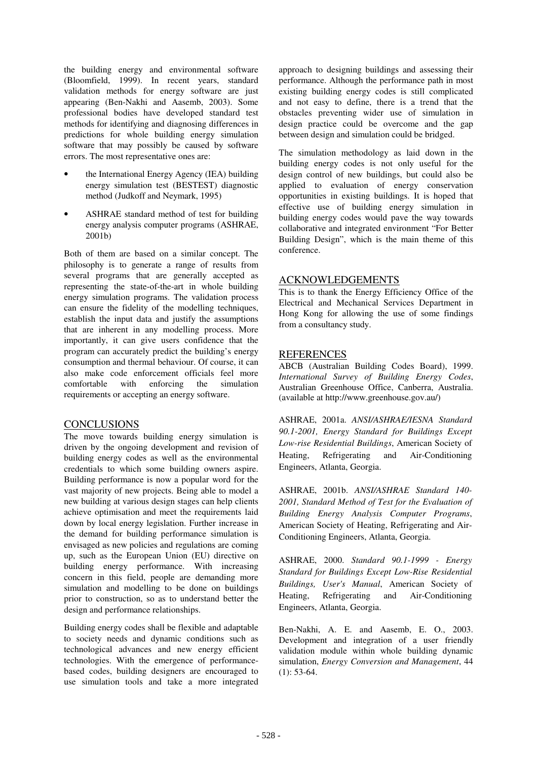the building energy and environmental software (Bloomfield, 1999). In recent years, standard validation methods for energy software are just appearing (Ben-Nakhi and Aasemb, 2003). Some professional bodies have developed standard test methods for identifying and diagnosing differences in predictions for whole building energy simulation software that may possibly be caused by software errors. The most representative ones are:

- the International Energy Agency (IEA) building energy simulation test (BESTEST) diagnostic method (Judkoff and Neymark, 1995)
- ASHRAE standard method of test for building energy analysis computer programs (ASHRAE, 2001b)

Both of them are based on a similar concept. The philosophy is to generate a range of results from several programs that are generally accepted as representing the state-of-the-art in whole building energy simulation programs. The validation process can ensure the fidelity of the modelling techniques, establish the input data and justify the assumptions that are inherent in any modelling process. More importantly, it can give users confidence that the program can accurately predict the building's energy consumption and thermal behaviour. Of course, it can also make code enforcement officials feel more comfortable with enforcing the simulation requirements or accepting an energy software.

### CONCLUSIONS

The move towards building energy simulation is driven by the ongoing development and revision of building energy codes as well as the environmental credentials to which some building owners aspire. Building performance is now a popular word for the vast majority of new projects. Being able to model a new building at various design stages can help clients achieve optimisation and meet the requirements laid down by local energy legislation. Further increase in the demand for building performance simulation is envisaged as new policies and regulations are coming up, such as the European Union (EU) directive on building energy performance. With increasing concern in this field, people are demanding more simulation and modelling to be done on buildings prior to construction, so as to understand better the design and performance relationships.

Building energy codes shall be flexible and adaptable to society needs and dynamic conditions such as technological advances and new energy efficient technologies. With the emergence of performancebased codes, building designers are encouraged to use simulation tools and take a more integrated

approach to designing buildings and assessing their performance. Although the performance path in most existing building energy codes is still complicated and not easy to define, there is a trend that the obstacles preventing wider use of simulation in design practice could be overcome and the gap between design and simulation could be bridged.

The simulation methodology as laid down in the building energy codes is not only useful for the design control of new buildings, but could also be applied to evaluation of energy conservation opportunities in existing buildings. It is hoped that effective use of building energy simulation in building energy codes would pave the way towards collaborative and integrated environment "For Better Building Design", which is the main theme of this conference.

## ACKNOWLEDGEMENTS

This is to thank the Energy Efficiency Office of the Electrical and Mechanical Services Department in Hong Kong for allowing the use of some findings from a consultancy study.

### **REFERENCES**

ABCB (Australian Building Codes Board), 1999. *International Survey of Building Energy Codes*, Australian Greenhouse Office, Canberra, Australia. (available at http://www.greenhouse.gov.au/)

ASHRAE, 2001a. *ANSI/ASHRAE/IESNA Standard 90.1-2001, Energy Standard for Buildings Except Low-rise Residential Buildings*, American Society of Heating, Refrigerating and Air-Conditioning Engineers, Atlanta, Georgia.

ASHRAE, 2001b. *ANSI/ASHRAE Standard 140- 2001, Standard Method of Test for the Evaluation of Building Energy Analysis Computer Programs*, American Society of Heating, Refrigerating and Air-Conditioning Engineers, Atlanta, Georgia.

ASHRAE, 2000. *Standard 90.1-1999 - Energy Standard for Buildings Except Low-Rise Residential Buildings, User's Manual*, American Society of Heating, Refrigerating and Air-Conditioning Engineers, Atlanta, Georgia.

Ben-Nakhi, A. E. and Aasemb, E. O., 2003. Development and integration of a user friendly validation module within whole building dynamic simulation, *Energy Conversion and Management*, 44  $(1): 53-64.$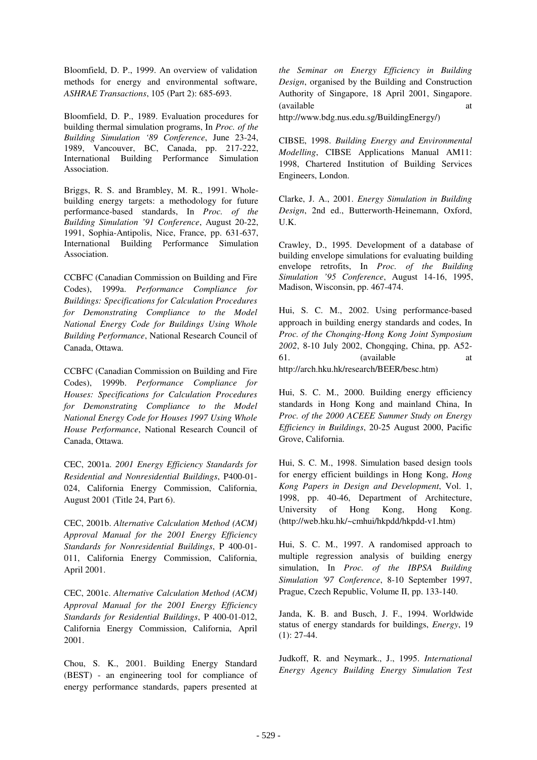Bloomfield, D. P., 1999. An overview of validation methods for energy and environmental software, *ASHRAE Transactions*, 105 (Part 2): 685-693.

Bloomfield, D. P., 1989. Evaluation procedures for building thermal simulation programs, In *Proc. of the Building Simulation '89 Conference*, June 23-24, 1989, Vancouver, BC, Canada, pp. 217-222, International Building Performance Simulation Association.

Briggs, R. S. and Brambley, M. R., 1991. Wholebuilding energy targets: a methodology for future performance-based standards, In *Proc. of the Building Simulation '91 Conference*, August 20-22, 1991, Sophia-Antipolis, Nice, France, pp. 631-637, International Building Performance Simulation Association.

CCBFC (Canadian Commission on Building and Fire Codes), 1999a. *Performance Compliance for Buildings: Specifications for Calculation Procedures for Demonstrating Compliance to the Model National Energy Code for Buildings Using Whole Building Performance*, National Research Council of Canada, Ottawa.

CCBFC (Canadian Commission on Building and Fire Codes), 1999b. *Performance Compliance for Houses: Specifications for Calculation Procedures for Demonstrating Compliance to the Model National Energy Code for Houses 1997 Using Whole House Performance*, National Research Council of Canada, Ottawa.

CEC, 2001a. *2001 Energy Efficiency Standards for Residential and Nonresidential Buildings*, P400-01- 024, California Energy Commission, California, August 2001 (Title 24, Part 6).

CEC, 2001b. *Alternative Calculation Method (ACM) Approval Manual for the 2001 Energy Efficiency Standards for Nonresidential Buildings*, P 400-01- 011, California Energy Commission, California, April 2001.

CEC, 2001c. *Alternative Calculation Method (ACM) Approval Manual for the 2001 Energy Efficiency Standards for Residential Buildings*, P 400-01-012, California Energy Commission, California, April 2001.

Chou, S. K., 2001. Building Energy Standard (BEST) - an engineering tool for compliance of energy performance standards, papers presented at

*the Seminar on Energy Efficiency in Building Design*, organised by the Building and Construction Authority of Singapore, 18 April 2001, Singapore. (available at a

http://www.bdg.nus.edu.sg/BuildingEnergy/)

CIBSE, 1998. *Building Energy and Environmental Modelling*, CIBSE Applications Manual AM11: 1998, Chartered Institution of Building Services Engineers, London.

Clarke, J. A., 2001. *Energy Simulation in Building Design*, 2nd ed., Butterworth-Heinemann, Oxford, U.K.

Crawley, D., 1995. Development of a database of building envelope simulations for evaluating building envelope retrofits, In *Proc. of the Building Simulation '95 Conference*, August 14-16, 1995, Madison, Wisconsin, pp. 467-474.

Hui, S. C. M., 2002. Using performance-based approach in building energy standards and codes, In *Proc. of the Chonqing-Hong Kong Joint Symposium 2002*, 8-10 July 2002, Chongqing, China, pp. A52- 61. (available at http://arch.hku.hk/research/BEER/besc.htm)

Hui, S. C. M., 2000. Building energy efficiency standards in Hong Kong and mainland China, In *Proc. of the 2000 ACEEE Summer Study on Energy Efficiency in Buildings*, 20-25 August 2000, Pacific Grove, California.

Hui, S. C. M., 1998. Simulation based design tools for energy efficient buildings in Hong Kong, *Hong Kong Papers in Design and Development*, Vol. 1, 1998, pp. 40-46, Department of Architecture, University of Hong Kong, Hong Kong. (http://web.hku.hk/~cmhui/hkpdd/hkpdd-v1.htm)

Hui, S. C. M., 1997. A randomised approach to multiple regression analysis of building energy simulation, In *Proc. of the IBPSA Building Simulation '97 Conference*, 8-10 September 1997, Prague, Czech Republic, Volume II, pp. 133-140.

Janda, K. B. and Busch, J. F., 1994. Worldwide status of energy standards for buildings, *Energy*, 19 (1): 27-44.

Judkoff, R. and Neymark., J., 1995. *International Energy Agency Building Energy Simulation Test*